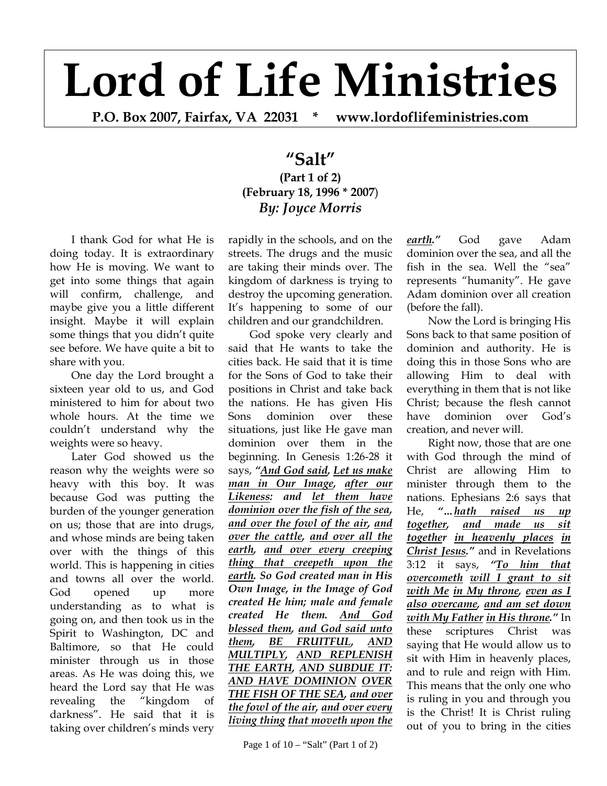## **Lord of Life Ministries**

**P.O. Box 2007, Fairfax, VA 22031 \* www.lordoflifeministries.com** 

## **"Salt" (Part 1 of 2) (February 18, 1996 \* 2007**) *By: Joyce Morris*

I thank God for what He is doing today. It is extraordinary how He is moving. We want to get into some things that again will confirm, challenge, and maybe give you a little different insight. Maybe it will explain some things that you didn't quite see before. We have quite a bit to share with you.

One day the Lord brought a sixteen year old to us, and God ministered to him for about two whole hours. At the time we couldn't understand why the weights were so heavy.

Later God showed us the reason why the weights were so heavy with this boy. It was because God was putting the burden of the younger generation on us; those that are into drugs, and whose minds are being taken over with the things of this world. This is happening in cities and towns all over the world. God opened up more understanding as to what is going on, and then took us in the Spirit to Washington, DC and Baltimore, so that He could minister through us in those areas. As He was doing this, we heard the Lord say that He was revealing the "kingdom of darkness". He said that it is taking over children's minds very

rapidly in the schools, and on the streets. The drugs and the music are taking their minds over. The kingdom of darkness is trying to destroy the upcoming generation. It's happening to some of our children and our grandchildren.

God spoke very clearly and said that He wants to take the cities back. He said that it is time for the Sons of God to take their positions in Christ and take back the nations. He has given His Sons dominion over these situations, just like He gave man dominion over them in the beginning. In Genesis 1:26-28 it says, *"And God said, Let us make man in Our Image, after our Likeness: and let them have dominion over the fish of the sea, and over the fowl of the air, and over the cattle, and over all the earth, and over every creeping thing that creepeth upon the earth. So God created man in His Own Image, in the Image of God created He him; male and female created He them. And God blessed them, and God said unto them, BE FRUITFUL, AND MULTIPLY, AND REPLENISH THE EARTH, AND SUBDUE IT: AND HAVE DOMINION OVER THE FISH OF THE SEA, and over the fowl of the air, and over every living thing that moveth upon the* 

*earth."* God gave Adam dominion over the sea, and all the fish in the sea. Well the "sea" represents "humanity". He gave Adam dominion over all creation (before the fall).

Now the Lord is bringing His Sons back to that same position of dominion and authority. He is doing this in those Sons who are allowing Him to deal with everything in them that is not like Christ; because the flesh cannot have dominion over God's creation, and never will.

Right now, those that are one with God through the mind of Christ are allowing Him to minister through them to the nations. Ephesians 2:6 says that He, *"…hath raised us up together, and made us sit together in heavenly places in Christ Jesus."* and in Revelations 3:12 it says, *"To him that overcometh will I grant to sit with Me in My throne, even as I also overcame, and am set down with My Father in His throne."* In these scriptures Christ was saying that He would allow us to sit with Him in heavenly places, and to rule and reign with Him. This means that the only one who is ruling in you and through you is the Christ! It is Christ ruling out of you to bring in the cities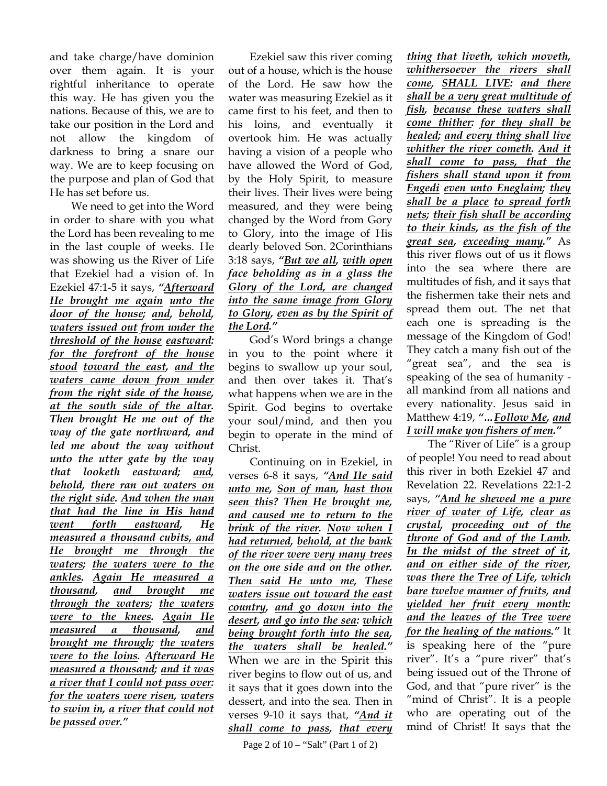and take charge/have dominion over them again. It is your rightful inheritance to operate this way. He has given you the nations. Because of this, we are to take our position in the Lord and not allow the kingdom of darkness to bring a snare our way. We are to keep focusing on the purpose and plan of God that He has set before us.

We need to get into the Word in order to share with you what the Lord has been revealing to me in the last couple of weeks. He was showing us the River of Life that Ezekiel had a vision of. In Ezekiel 47:1-5 it says, *"Afterward He brought me again unto the door of the house; and, behold, waters issued out from under the threshold of the house eastward: for the forefront of the house stood toward the east, and the waters came down from under from the right side of the house, at the south side of the altar. Then brought He me out of the way of the gate northward, and led me about the way without unto the utter gate by the way that looketh eastward; and, behold, there ran out waters on the right side. And when the man that had the line in His hand went forth eastward, He measured a thousand cubits, and He brought me through the waters; the waters were to the ankles. Again He measured a thousand, and brought me through the waters; the waters were to the knees. Again He measured a thousand, and brought me through; the waters were to the loins. Afterward He measured a thousand; and it was a river that I could not pass over: for the waters were risen, waters to swim in, a river that could not be passed over."*

Ezekiel saw this river coming out of a house, which is the house of the Lord. He saw how the water was measuring Ezekiel as it came first to his feet, and then to his loins, and eventually it overtook him. He was actually having a vision of a people who have allowed the Word of God, by the Holy Spirit, to measure their lives. Their lives were being measured, and they were being changed by the Word from Gory to Glory, into the image of His dearly beloved Son. 2Corinthians 3:18 says, *"But we all, with open face beholding as in a glass the Glory of the Lord, are changed into the same image from Glory to Glory, even as by the Spirit of the Lord."*

God's Word brings a change in you to the point where it begins to swallow up your soul, and then over takes it. That's what happens when we are in the Spirit. God begins to overtake your soul/mind, and then you begin to operate in the mind of Christ.

Continuing on in Ezekiel, in verses 6-8 it says, *"And He said unto me, Son of man, hast thou seen this? Then He brought me, and caused me to return to the brink of the river. Now when I had returned, behold, at the bank of the river were very many trees on the one side and on the other. Then said He unto me, These waters issue out toward the east country, and go down into the desert, and go into the sea: which being brought forth into the sea, the waters shall be healed."* When we are in the Spirit this river begins to flow out of us, and it says that it goes down into the dessert, and into the sea. Then in verses 9-10 it says that, *"And it shall come to pass, that every* 

Page 2 of 10 – "Salt" (Part 1 of 2)

*thing that liveth, which moveth, whithersoever the rivers shall come, SHALL LIVE: and there shall be a very great multitude of fish, because these waters shall come thither: for they shall be healed; and every thing shall live whither the river cometh. And it shall come to pass, that the fishers shall stand upon it from Engedi even unto Eneglaim; they shall be a place to spread forth nets; their fish shall be according to their kinds, as the fish of the great sea, exceeding many."* As this river flows out of us it flows into the sea where there are multitudes of fish, and it says that the fishermen take their nets and spread them out. The net that each one is spreading is the message of the Kingdom of God! They catch a many fish out of the "great sea", and the sea is speaking of the sea of humanity all mankind from all nations and every nationality. Jesus said in Matthew 4:19, *"…Follow Me, and I will make you fishers of men."*

The "River of Life" is a group of people! You need to read about this river in both Ezekiel 47 and Revelation 22. Revelations 22:1-2 says, *"And he shewed me a pure river of water of Life, clear as crystal, proceeding out of the throne of God and of the Lamb. In the midst of the street of it, and on either side of the river, was there the Tree of Life, which bare twelve manner of fruits, and yielded her fruit every month: and the leaves of the Tree were for the healing of the nations."* It is speaking here of the "pure river". It's a "pure river" that's being issued out of the Throne of God, and that "pure river" is the "mind of Christ". It is a people who are operating out of the mind of Christ! It says that the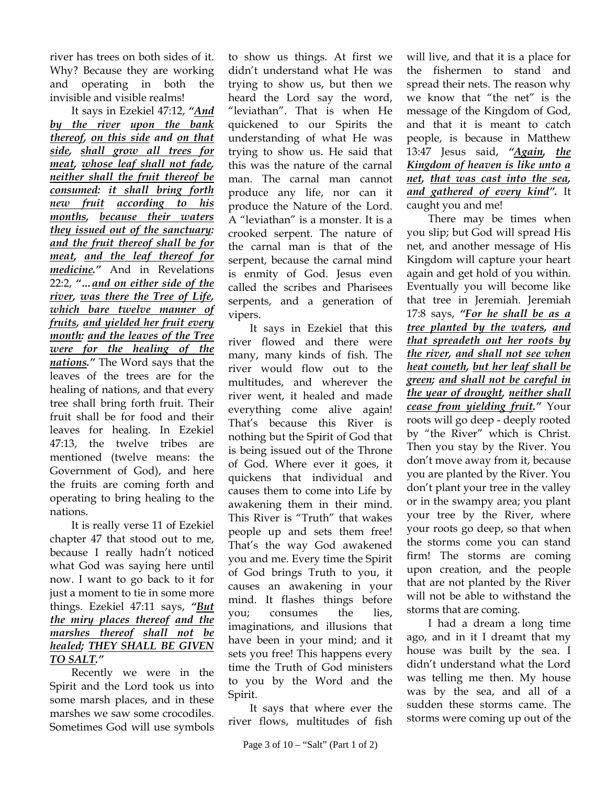river has trees on both sides of it. Why? Because they are working and operating in both the invisible and visible realms!

It says in Ezekiel 47:12, *"And by the river upon the bank thereof, on this side and on that side, shall grow all trees for meat, whose leaf shall not fade, neither shall the fruit thereof be consumed: it shall bring forth new fruit according to his months, because their waters they issued out of the sanctuary: and the fruit thereof shall be for meat, and the leaf thereof for medicine."* And in Revelations 22:2, *"…and on either side of the river, was there the Tree of Life, which bare twelve manner of fruits, and yielded her fruit every month: and the leaves of the Tree were for the healing of the nations."* The Word says that the leaves of the trees are for the healing of nations, and that every tree shall bring forth fruit. Their fruit shall be for food and their leaves for healing. In Ezekiel 47:13, the twelve tribes are mentioned (twelve means: the Government of God), and here the fruits are coming forth and operating to bring healing to the nations.

It is really verse 11 of Ezekiel chapter 47 that stood out to me, because I really hadn't noticed what God was saying here until now. I want to go back to it for just a moment to tie in some more things. Ezekiel 47:11 says, *"But the miry places thereof and the marshes thereof shall not be healed; THEY SHALL BE GIVEN TO SALT."*

Recently we were in the Spirit and the Lord took us into some marsh places, and in these marshes we saw some crocodiles. Sometimes God will use symbols

to show us things. At first we didn't understand what He was trying to show us, but then we heard the Lord say the word, "leviathan". That is when He quickened to our Spirits the understanding of what He was trying to show us. He said that this was the nature of the carnal man. The carnal man cannot produce any life, nor can it produce the Nature of the Lord. A "leviathan" is a monster. It is a crooked serpent. The nature of the carnal man is that of the serpent, because the carnal mind is enmity of God. Jesus even called the scribes and Pharisees serpents, and a generation of vipers.

It says in Ezekiel that this river flowed and there were many, many kinds of fish. The river would flow out to the multitudes, and wherever the river went, it healed and made everything come alive again! That's because this River is nothing but the Spirit of God that is being issued out of the Throne of God. Where ever it goes, it quickens that individual and causes them to come into Life by awakening them in their mind. This River is "Truth" that wakes people up and sets them free! That's the way God awakened you and me. Every time the Spirit of God brings Truth to you, it causes an awakening in your mind. It flashes things before you; consumes the lies, imaginations, and illusions that have been in your mind; and it sets you free! This happens every time the Truth of God ministers to you by the Word and the Spirit.

It says that where ever the river flows, multitudes of fish will live, and that it is a place for the fishermen to stand and spread their nets. The reason why we know that "the net" is the message of the Kingdom of God, and that it is meant to catch people, is because in Matthew 13:47 Jesus said, *"Again, the Kingdom of heaven is like unto a net, that was cast into the sea, and gathered of every kind".* It caught you and me!

There may be times when you slip; but God will spread His net, and another message of His Kingdom will capture your heart again and get hold of you within. Eventually you will become like that tree in Jeremiah. Jeremiah 17:8 says, *"For he shall be as a tree planted by the waters, and that spreadeth out her roots by the river, and shall not see when heat cometh, but her leaf shall be green; and shall not be careful in the year of drought, neither shall cease from yielding fruit."* Your roots will go deep - deeply rooted by "the River" which is Christ. Then you stay by the River. You don't move away from it, because you are planted by the River. You don't plant your tree in the valley or in the swampy area; you plant your tree by the River, where your roots go deep, so that when the storms come you can stand firm! The storms are coming upon creation, and the people that are not planted by the River will not be able to withstand the storms that are coming.

I had a dream a long time ago, and in it I dreamt that my house was built by the sea. I didn't understand what the Lord was telling me then. My house was by the sea, and all of a sudden these storms came. The storms were coming up out of the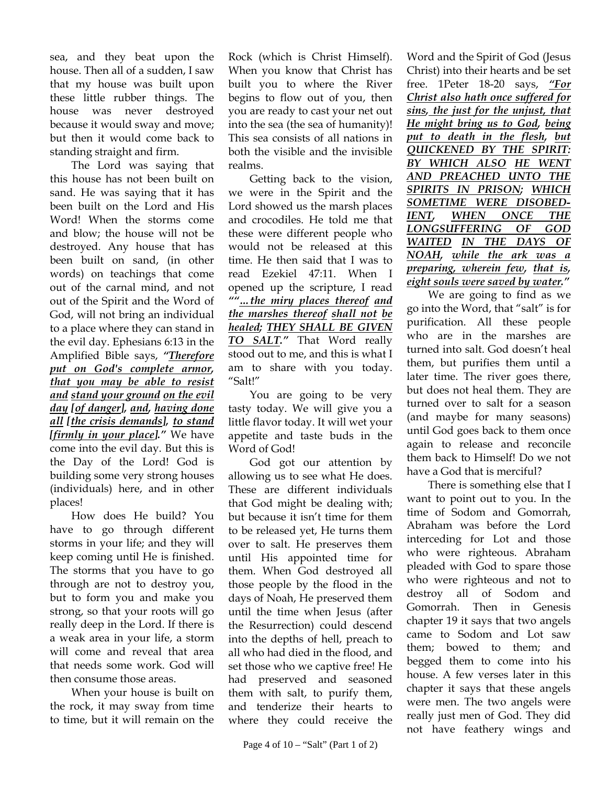sea, and they beat upon the house. Then all of a sudden, I saw that my house was built upon these little rubber things. The house was never destroyed because it would sway and move; but then it would come back to standing straight and firm.

The Lord was saying that this house has not been built on sand. He was saying that it has been built on the Lord and His Word! When the storms come and blow; the house will not be destroyed. Any house that has been built on sand, (in other words) on teachings that come out of the carnal mind, and not out of the Spirit and the Word of God, will not bring an individual to a place where they can stand in the evil day. Ephesians 6:13 in the Amplified Bible says, *"Therefore put on God's complete armor, that you may be able to resist and stand your ground on the evil day [of danger], and, having done all [the crisis demands], to stand [firmly in your place]."* We have come into the evil day. But this is the Day of the Lord! God is building some very strong houses (individuals) here, and in other places!

How does He build? You have to go through different storms in your life; and they will keep coming until He is finished. The storms that you have to go through are not to destroy you, but to form you and make you strong, so that your roots will go really deep in the Lord. If there is a weak area in your life, a storm will come and reveal that area that needs some work. God will then consume those areas.

When your house is built on the rock, it may sway from time to time, but it will remain on the

Rock (which is Christ Himself). When you know that Christ has built you to where the River begins to flow out of you, then you are ready to cast your net out into the sea (the sea of humanity)! This sea consists of all nations in both the visible and the invisible realms.

Getting back to the vision, we were in the Spirit and the Lord showed us the marsh places and crocodiles. He told me that these were different people who would not be released at this time. He then said that I was to read Ezekiel 47:11. When I opened up the scripture, I read *""…the miry places thereof and the marshes thereof shall not be healed; THEY SHALL BE GIVEN TO SALT."* That Word really stood out to me, and this is what I am to share with you today. "Salt!"

You are going to be very tasty today. We will give you a little flavor today. It will wet your appetite and taste buds in the Word of God!

God got our attention by allowing us to see what He does. These are different individuals that God might be dealing with; but because it isn't time for them to be released yet, He turns them over to salt. He preserves them until His appointed time for them. When God destroyed all those people by the flood in the days of Noah, He preserved them until the time when Jesus (after the Resurrection) could descend into the depths of hell, preach to all who had died in the flood, and set those who we captive free! He had preserved and seasoned them with salt, to purify them, and tenderize their hearts to where they could receive the Word and the Spirit of God (Jesus Christ) into their hearts and be set free. 1Peter 18-20 says, *"For Christ also hath once suffered for sins, the just for the unjust, that He might bring us to God, being put to death in the flesh, but QUICKENED BY THE SPIRIT: BY WHICH ALSO HE WENT AND PREACHED UNTO THE SPIRITS IN PRISON; WHICH SOMETIME WERE DISOBED-IENT, WHEN ONCE THE LONGSUFFERING OF GOD WAITED IN THE DAYS OF NOAH, while the ark was a preparing, wherein few, that is, eight souls were saved by water."*

We are going to find as we go into the Word, that "salt" is for purification. All these people who are in the marshes are turned into salt. God doesn't heal them, but purifies them until a later time. The river goes there, but does not heal them. They are turned over to salt for a season (and maybe for many seasons) until God goes back to them once again to release and reconcile them back to Himself! Do we not have a God that is merciful?

There is something else that I want to point out to you. In the time of Sodom and Gomorrah, Abraham was before the Lord interceding for Lot and those who were righteous. Abraham pleaded with God to spare those who were righteous and not to destroy all of Sodom and Gomorrah. Then in Genesis chapter 19 it says that two angels came to Sodom and Lot saw them; bowed to them; and begged them to come into his house. A few verses later in this chapter it says that these angels were men. The two angels were really just men of God. They did not have feathery wings and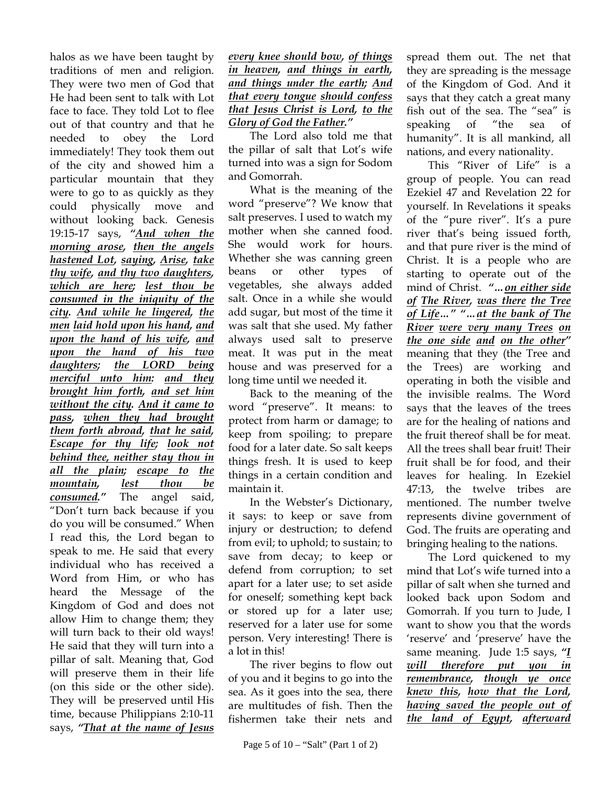halos as we have been taught by traditions of men and religion. They were two men of God that He had been sent to talk with Lot face to face. They told Lot to flee out of that country and that he needed to obey the Lord immediately! They took them out of the city and showed him a particular mountain that they were to go to as quickly as they could physically move and without looking back. Genesis 19:15-17 says, *"And when the morning arose, then the angels hastened Lot, saying, Arise, take thy wife, and thy two daughters, which are here; lest thou be consumed in the iniquity of the city. And while he lingered, the men laid hold upon his hand, and upon the hand of his wife, and upon the hand of his two daughters; the LORD being merciful unto him: and they brought him forth, and set him without the city. And it came to*  pass, when they had brought *them forth abroad, that he said, Escape for thy life; look not behind thee, neither stay thou in all the plain; escape to the mountain, lest thou be consumed."* The angel said, "Don't turn back because if you do you will be consumed." When I read this, the Lord began to speak to me. He said that every individual who has received a Word from Him, or who has heard the Message of the Kingdom of God and does not allow Him to change them; they will turn back to their old ways! He said that they will turn into a pillar of salt. Meaning that, God will preserve them in their life (on this side or the other side). They will be preserved until His time, because Philippians 2:10-11 says, *"That at the name of Jesus*

*every knee should bow, of things in heaven, and things in earth, and things under the earth; And that every tongue should confess that Jesus Christ is Lord, to the Glory of God the Father."*

The Lord also told me that the pillar of salt that Lot's wife turned into was a sign for Sodom and Gomorrah.

What is the meaning of the word "preserve"? We know that salt preserves. I used to watch my mother when she canned food. She would work for hours. Whether she was canning green beans or other types of vegetables, she always added salt. Once in a while she would add sugar, but most of the time it was salt that she used. My father always used salt to preserve meat. It was put in the meat house and was preserved for a long time until we needed it.

Back to the meaning of the word "preserve". It means: to protect from harm or damage; to keep from spoiling; to prepare food for a later date. So salt keeps things fresh. It is used to keep things in a certain condition and maintain it.

In the Webster's Dictionary, it says: to keep or save from injury or destruction; to defend from evil; to uphold; to sustain; to save from decay; to keep or defend from corruption; to set apart for a later use; to set aside for oneself; something kept back or stored up for a later use; reserved for a later use for some person. Very interesting! There is a lot in this!

The river begins to flow out of you and it begins to go into the sea. As it goes into the sea, there are multitudes of fish. Then the fishermen take their nets and spread them out. The net that they are spreading is the message of the Kingdom of God. And it says that they catch a great many fish out of the sea. The "sea" is speaking of "the sea of humanity". It is all mankind, all nations, and every nationality.

This "River of Life" is a group of people. You can read Ezekiel 47 and Revelation 22 for yourself. In Revelations it speaks of the "pure river". It's a pure river that's being issued forth, and that pure river is the mind of Christ. It is a people who are starting to operate out of the mind of Christ. *"…on either side of The River, was there the Tree of Life…" "…at the bank of The River were very many Trees on the one side and on the other"*  meaning that they (the Tree and the Trees) are working and operating in both the visible and the invisible realms. The Word says that the leaves of the trees are for the healing of nations and the fruit thereof shall be for meat. All the trees shall bear fruit! Their fruit shall be for food, and their leaves for healing. In Ezekiel 47:13, the twelve tribes are mentioned. The number twelve represents divine government of God. The fruits are operating and bringing healing to the nations.

The Lord quickened to my mind that Lot's wife turned into a pillar of salt when she turned and looked back upon Sodom and Gomorrah. If you turn to Jude, I want to show you that the words 'reserve' and 'preserve' have the same meaning. Jude 1:5 says, *"I will therefore put you in remembrance, though ye once knew this, how that the Lord, having saved the people out of the land of Egypt, afterward*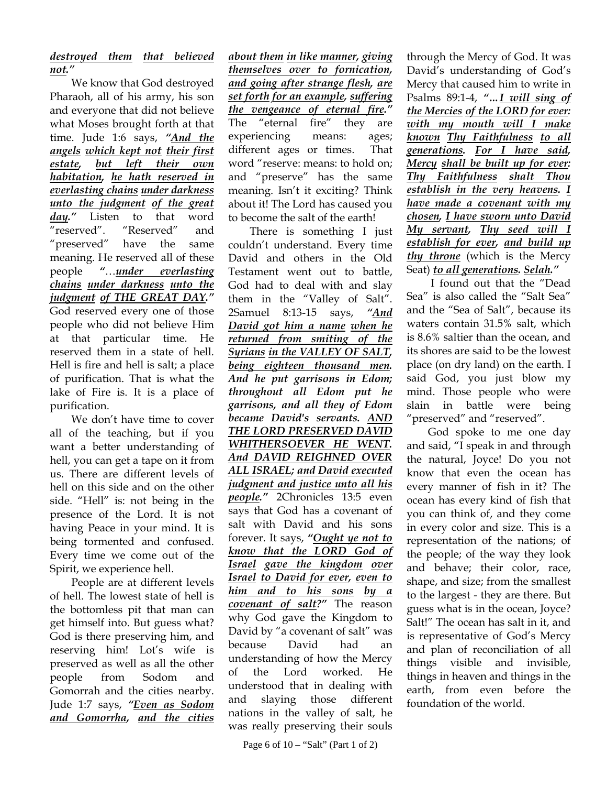## *destroyed them that believed not."*

We know that God destroyed Pharaoh, all of his army, his son and everyone that did not believe what Moses brought forth at that time. Jude 1:6 says, *"And the angels which kept not their first estate, but left their own habitation, he hath reserved in everlasting chains under darkness unto the judgment of the great day."* Listen to that word "reserved". "Reserved" and "preserved" have the same meaning. He reserved all of these people *"*…*under everlasting chains under darkness unto the judgment of THE GREAT DAY."* God reserved every one of those people who did not believe Him at that particular time. He reserved them in a state of hell. Hell is fire and hell is salt; a place of purification. That is what the lake of Fire is. It is a place of purification.

We don't have time to cover all of the teaching, but if you want a better understanding of hell, you can get a tape on it from us. There are different levels of hell on this side and on the other side. "Hell" is: not being in the presence of the Lord. It is not having Peace in your mind. It is being tormented and confused. Every time we come out of the Spirit, we experience hell.

People are at different levels of hell. The lowest state of hell is the bottomless pit that man can get himself into. But guess what? God is there preserving him, and reserving him! Lot's wife is preserved as well as all the other people from Sodom and Gomorrah and the cities nearby. Jude 1:7 says, *"Even as Sodom and Gomorrha, and the cities* 

*about them in like manner, giving themselves over to fornication, and going after strange flesh, are set forth for an example, suffering the vengeance of eternal fire."* The "eternal fire" they are experiencing means: ages; different ages or times. That word "reserve: means: to hold on; and "preserve" has the same meaning. Isn't it exciting? Think about it! The Lord has caused you to become the salt of the earth!

There is something I just couldn't understand. Every time David and others in the Old Testament went out to battle, God had to deal with and slay them in the "Valley of Salt". 2Samuel 8:13-15 says, *"And David got him a name when he returned from smiting of the Syrians in the VALLEY OF SALT, being eighteen thousand men. And he put garrisons in Edom; throughout all Edom put he garrisons, and all they of Edom became David's servants. AND THE LORD PRESERVED DAVID WHITHERSOEVER HE WENT. And DAVID REIGHNED OVER ALL ISRAEL; and David executed judgment and justice unto all his people."* 2Chronicles 13:5 even says that God has a covenant of salt with David and his sons forever. It says, *"Ought ye not to know that the LORD God of Israel gave the kingdom over Israel to David for ever, even to him and to his sons by a covenant of salt?"* The reason why God gave the Kingdom to David by "a covenant of salt" was because David had an understanding of how the Mercy of the Lord worked. He understood that in dealing with and slaying those different nations in the valley of salt, he was really preserving their souls

Page 6 of 10 – "Salt" (Part 1 of 2)

through the Mercy of God. It was David's understanding of God's Mercy that caused him to write in Psalms 89:1-4, *"…I will sing of the Mercies of the LORD for ever: with my mouth will I make known Thy Faithfulness to all generations. For I have said, Mercy shall be built up for ever: Thy Faithfulness shalt Thou establish in the very heavens. I have made a covenant with my chosen, I have sworn unto David My servant, Thy seed will I establish for ever, and build up thy throne* (which is the Mercy Seat) *to all generations. Selah."* 

 I found out that the "Dead Sea" is also called the "Salt Sea" and the "Sea of Salt", because its waters contain 31.5% salt, which is 8.6% saltier than the ocean, and its shores are said to be the lowest place (on dry land) on the earth. I said God, you just blow my mind. Those people who were slain in battle were being "preserved" and "reserved".

God spoke to me one day and said, "I speak in and through the natural, Joyce! Do you not know that even the ocean has every manner of fish in it? The ocean has every kind of fish that you can think of, and they come in every color and size. This is a representation of the nations; of the people; of the way they look and behave; their color, race, shape, and size; from the smallest to the largest - they are there. But guess what is in the ocean, Joyce? Salt!" The ocean has salt in it, and is representative of God's Mercy and plan of reconciliation of all things visible and invisible, things in heaven and things in the earth, from even before the foundation of the world.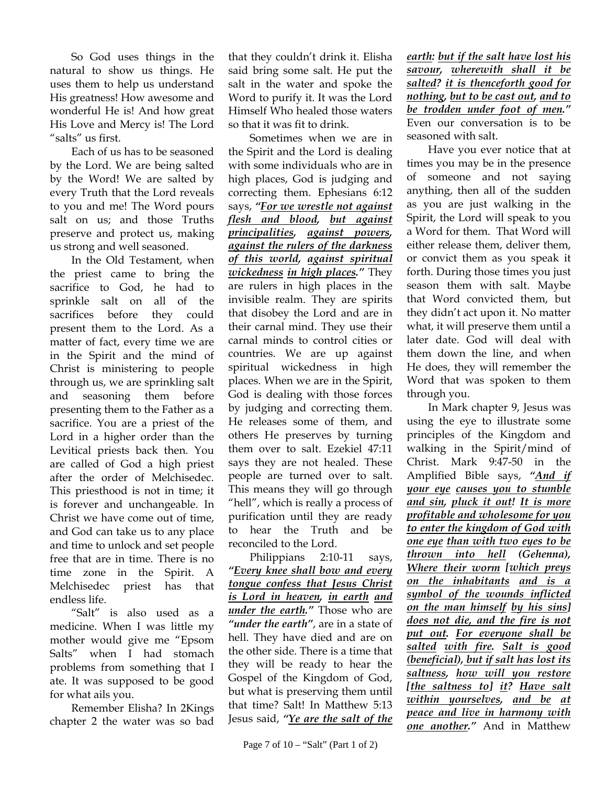So God uses things in the natural to show us things. He uses them to help us understand His greatness! How awesome and wonderful He is! And how great His Love and Mercy is! The Lord "salts" us first.

Each of us has to be seasoned by the Lord. We are being salted by the Word! We are salted by every Truth that the Lord reveals to you and me! The Word pours salt on us; and those Truths preserve and protect us, making us strong and well seasoned.

In the Old Testament, when the priest came to bring the sacrifice to God, he had to sprinkle salt on all of the sacrifices before they could present them to the Lord. As a matter of fact, every time we are in the Spirit and the mind of Christ is ministering to people through us, we are sprinkling salt and seasoning them before presenting them to the Father as a sacrifice. You are a priest of the Lord in a higher order than the Levitical priests back then. You are called of God a high priest after the order of Melchisedec. This priesthood is not in time; it is forever and unchangeable. In Christ we have come out of time, and God can take us to any place and time to unlock and set people free that are in time. There is no time zone in the Spirit. A Melchisedec priest has that endless life.

"Salt" is also used as a medicine. When I was little my mother would give me "Epsom Salts" when I had stomach problems from something that I ate. It was supposed to be good for what ails you.

Remember Elisha? In 2Kings chapter 2 the water was so bad that they couldn't drink it. Elisha said bring some salt. He put the salt in the water and spoke the Word to purify it. It was the Lord Himself Who healed those waters so that it was fit to drink.

Sometimes when we are in the Spirit and the Lord is dealing with some individuals who are in high places, God is judging and correcting them. Ephesians 6:12 says, *"For we wrestle not against flesh and blood, but against principalities, against powers, against the rulers of the darkness of this world, against spiritual wickedness in high places."* They are rulers in high places in the invisible realm. They are spirits that disobey the Lord and are in their carnal mind. They use their carnal minds to control cities or countries. We are up against spiritual wickedness in high places. When we are in the Spirit, God is dealing with those forces by judging and correcting them. He releases some of them, and others He preserves by turning them over to salt. Ezekiel 47:11 says they are not healed. These people are turned over to salt. This means they will go through "hell", which is really a process of purification until they are ready to hear the Truth and be reconciled to the Lord.

Philippians 2:10-11 says, *"Every knee shall bow and every tongue confess that Jesus Christ is Lord in heaven, in earth and under the earth."* Those who are *"under the earth"*, are in a state of hell. They have died and are on the other side. There is a time that they will be ready to hear the Gospel of the Kingdom of God, but what is preserving them until that time? Salt! In Matthew 5:13 Jesus said, *"Ye are the salt of the*  *earth: but if the salt have lost his savour, wherewith shall it be salted? it is thenceforth good for nothing, but to be cast out, and to be trodden under foot of men."* Even our conversation is to be seasoned with salt.

Have you ever notice that at times you may be in the presence of someone and not saying anything, then all of the sudden as you are just walking in the Spirit, the Lord will speak to you a Word for them. That Word will either release them, deliver them, or convict them as you speak it forth. During those times you just season them with salt. Maybe that Word convicted them, but they didn't act upon it. No matter what, it will preserve them until a later date. God will deal with them down the line, and when He does, they will remember the Word that was spoken to them through you.

In Mark chapter 9, Jesus was using the eye to illustrate some principles of the Kingdom and walking in the Spirit/mind of Christ. Mark 9:47-50 in the Amplified Bible says, *"And if your eye causes you to stumble and sin, pluck it out! It is more profitable and wholesome for you to enter the kingdom of God with one eye than with two eyes to be thrown into hell (Gehenna), Where their worm [which preys on the inhabitants and is a symbol of the wounds inflicted on the man himself by his sins] does not die, and the fire is not put out. For everyone shall be salted with fire. Salt is good (beneficial), but if salt has lost its saltness, how will you restore [the saltness to] it? Have salt within yourselves, and be at peace and live in harmony with one another."* And in Matthew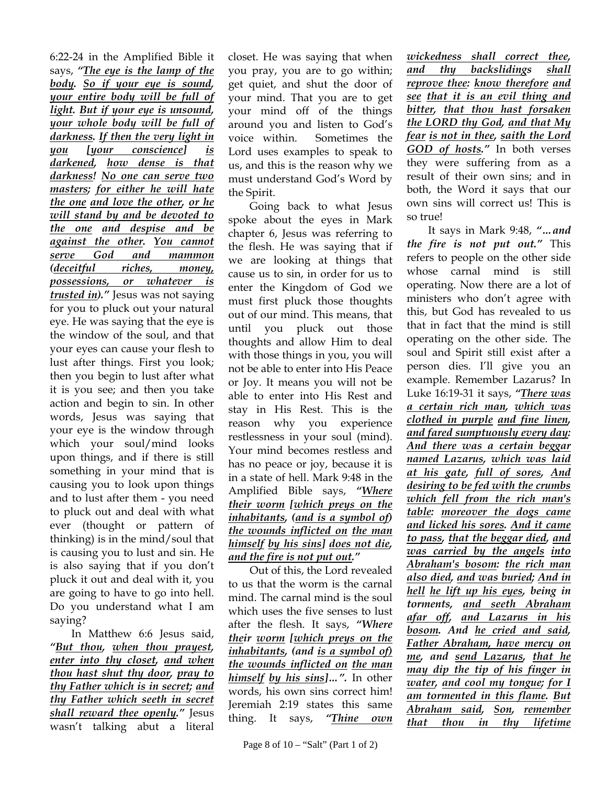6:22-24 in the Amplified Bible it says, *"The eye is the lamp of the body. So if your eye is sound, your entire body will be full of light. But if your eye is unsound, your whole body will be full of darkness. If then the very light in you [your conscience] is darkened, how dense is that darkness! No one can serve two masters; for either he will hate the one and love the other, or he will stand by and be devoted to the one and despise and be against the other. You cannot serve God and mammon (deceitful riches, money, possessions, or whatever is trusted in)."* Jesus was not saying for you to pluck out your natural eye. He was saying that the eye is the window of the soul, and that your eyes can cause your flesh to lust after things. First you look; then you begin to lust after what it is you see; and then you take action and begin to sin. In other words, Jesus was saying that your eye is the window through which your soul/mind looks upon things, and if there is still something in your mind that is causing you to look upon things and to lust after them - you need to pluck out and deal with what ever (thought or pattern of thinking) is in the mind/soul that is causing you to lust and sin. He is also saying that if you don't pluck it out and deal with it, you are going to have to go into hell. Do you understand what I am saying?

In Matthew 6:6 Jesus said, *"But thou, when thou prayest, enter into thy closet, and when thou hast shut thy door, pray to thy Father which is in secret; and thy Father which seeth in secret shall reward thee openly."* Jesus wasn't talking abut a literal

closet. He was saying that when you pray, you are to go within; get quiet, and shut the door of your mind. That you are to get your mind off of the things around you and listen to God's voice within. Sometimes the Lord uses examples to speak to us, and this is the reason why we must understand God's Word by the Spirit.

Going back to what Jesus spoke about the eyes in Mark chapter 6, Jesus was referring to the flesh. He was saying that if we are looking at things that cause us to sin, in order for us to enter the Kingdom of God we must first pluck those thoughts out of our mind. This means, that until you pluck out those thoughts and allow Him to deal with those things in you, you will not be able to enter into His Peace or Joy. It means you will not be able to enter into His Rest and stay in His Rest. This is the reason why you experience restlessness in your soul (mind). Your mind becomes restless and has no peace or joy, because it is in a state of hell. Mark 9:48 in the Amplified Bible says, *"Where their worm [which preys on the inhabitants, (and is a symbol of) the wounds inflicted on the man himself by his sins] does not die, and the fire is not put out."*

Out of this, the Lord revealed to us that the worm is the carnal mind. The carnal mind is the soul which uses the five senses to lust after the flesh. It says, *"Where their worm [which preys on the inhabitants, (and is a symbol of) the wounds inflicted on the man himself by his sins]…".* In other words, his own sins correct him! Jeremiah 2:19 states this same thing. It says, *"Thine own* 

*wickedness shall correct thee, and thy backslidings shall reprove thee: know therefore and see that it is an evil thing and bitter, that thou hast forsaken the LORD thy God, and that My fear is not in thee, saith the Lord GOD of hosts."* In both verses they were suffering from as a result of their own sins; and in both, the Word it says that our own sins will correct us! This is so true!

It says in Mark 9:48, *"…and the fire is not put out."* This refers to people on the other side whose carnal mind is still operating. Now there are a lot of ministers who don't agree with this, but God has revealed to us that in fact that the mind is still operating on the other side. The soul and Spirit still exist after a person dies. I'll give you an example. Remember Lazarus? In Luke 16:19-31 it says, *"There was a certain rich man, which was clothed in purple and fine linen, and fared sumptuously every day: And there was a certain beggar named Lazarus, which was laid at his gate, full of sores, And desiring to be fed with the crumbs which fell from the rich man's table: moreover the dogs came and licked his sores. And it came to pass, that the beggar died, and was carried by the angels into Abraham's bosom: the rich man also died, and was buried; And in hell he lift up his eyes, being in torments, and seeth Abraham afar off, and Lazarus in his bosom. And he cried and said, Father Abraham, have mercy on me, and send Lazarus, that he may dip the tip of his finger in water, and cool my tongue; for I am tormented in this flame. But Abraham said, Son, remember that thou in thy lifetime*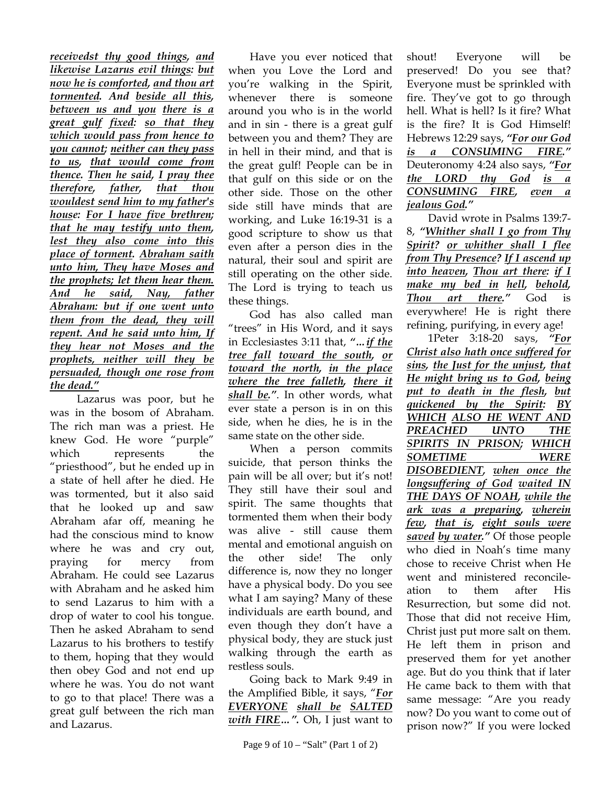*receivedst thy good things, and likewise Lazarus evil things: but now he is comforted, and thou art tormented. And beside all this, between us and you there is a great gulf fixed: so that they which would pass from hence to you cannot; neither can they pass to us, that would come from thence. Then he said, I pray thee therefore, father, that thou wouldest send him to my father's house: For I have five brethren; that he may testify unto them, lest they also come into this place of torment. Abraham saith unto him, They have Moses and the prophets; let them hear them. And he said, Nay, father Abraham: but if one went unto them from the dead, they will repent. And he said unto him, If they hear not Moses and the prophets, neither will they be persuaded, though one rose from the dead."*

 Lazarus was poor, but he was in the bosom of Abraham. The rich man was a priest. He knew God. He wore "purple" which represents the "priesthood", but he ended up in a state of hell after he died. He was tormented, but it also said that he looked up and saw Abraham afar off, meaning he had the conscious mind to know where he was and cry out, praying for mercy from Abraham. He could see Lazarus with Abraham and he asked him to send Lazarus to him with a drop of water to cool his tongue. Then he asked Abraham to send Lazarus to his brothers to testify to them, hoping that they would then obey God and not end up where he was. You do not want to go to that place! There was a great gulf between the rich man and Lazarus.

Have you ever noticed that when you Love the Lord and you're walking in the Spirit, whenever there is someone around you who is in the world and in sin - there is a great gulf between you and them? They are in hell in their mind, and that is the great gulf! People can be in that gulf on this side or on the other side. Those on the other side still have minds that are working, and Luke 16:19-31 is a good scripture to show us that even after a person dies in the natural, their soul and spirit are still operating on the other side. The Lord is trying to teach us these things.

God has also called man "trees" in His Word, and it says in Ecclesiastes 3:11 that, *"…if the tree fall toward the south, or toward the north, in the place where the tree falleth, there it shall be."*. In other words, what ever state a person is in on this side, when he dies, he is in the same state on the other side.

When a person commits suicide, that person thinks the pain will be all over; but it's not! They still have their soul and spirit. The same thoughts that tormented them when their body was alive - still cause them mental and emotional anguish on the other side! The only difference is, now they no longer have a physical body. Do you see what I am saying? Many of these individuals are earth bound, and even though they don't have a physical body, they are stuck just walking through the earth as restless souls.

Going back to Mark 9:49 in the Amplified Bible, it says, "*For EVERYONE shall be SALTED with FIRE…".* Oh, I just want to

shout! Everyone will be preserved! Do you see that? Everyone must be sprinkled with fire. They've got to go through hell. What is hell? Is it fire? What is the fire? It is God Himself! Hebrews 12:29 says, *"For our God is a CONSUMING FIRE."* Deuteronomy 4:24 also says, *"For the LORD thy God is a CONSUMING FIRE, even a jealous God."*

David wrote in Psalms 139:7- 8, *"Whither shall I go from Thy Spirit? or whither shall I flee from Thy Presence? If I ascend up into heaven, Thou art there: if I make my bed in hell, behold, Thou art there."* God is everywhere! He is right there refining, purifying, in every age!

1Peter 3:18-20 says, *"For Christ also hath once suffered for sins, the Just for the unjust, that He might bring us to God, being put to death in the flesh, but quickened by the Spirit: BY WHICH ALSO HE WENT AND PREACHED UNTO THE SPIRITS IN PRISON; WHICH SOMETIME WERE DISOBEDIENT, when once the longsuffering of God waited IN THE DAYS OF NOAH, while the ark was a preparing, wherein few, that is, eight souls were saved by water."* Of those people who died in Noah's time many chose to receive Christ when He went and ministered reconcileation to them after His Resurrection, but some did not. Those that did not receive Him, Christ just put more salt on them. He left them in prison and preserved them for yet another age. But do you think that if later He came back to them with that same message: "Are you ready now? Do you want to come out of prison now?" If you were locked